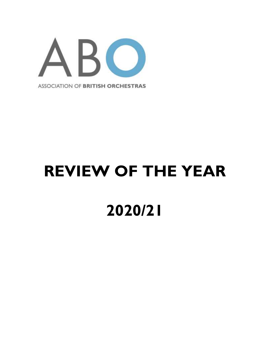

# **REVIEW OF THE YEAR 2020/21**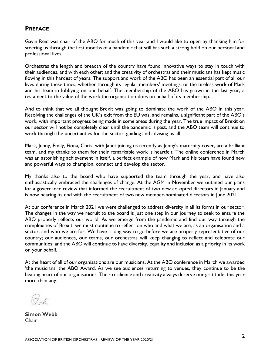### **PREFACE**

Gavin Reid was chair of the ABO for much of this year and I would like to open by thanking him for steering us through the first months of a pandemic that still has such a strong hold on our personal and professional lives.

Orchestras the length and breadth of the country have found innovative ways to stay in touch with their audiences, and with each other; and the creativity of orchestras and their musicians has kept music flowing in this hardest of years. The support and work of the ABO has been an essential part of all our lives during these times, whether through its regular members' meetings, or the tireless work of Mark and his team in lobbying on our behalf. The membership of the ABO has grown in the last year, a testament to the value of the work the organisation does on behalf of its membership.

And to think that we all thought Brexit was going to dominate the work of the ABO in this year. Resolving the challenges of the UK's exit from the EU was, and remains, a significant part of the ABO's work, with important progress being made in some areas during the year. The true impact of Brexit on our sector will not be completely clear until the pandemic is past, and the ABO team will continue to work through the uncertainties for the sector, guiding and advising us all.

Mark, Jenny, Emily, Fiona, Chris, with Janet joining us recently as Jenny's maternity cover, are a brilliant team, and my thanks to them for their remarkable work is heartfelt. The online conference in March was an astonishing achievement in itself, a perfect example of how Mark and his team have found new and powerful ways to champion, connect and develop the sector.

My thanks also to the board who have supported the team through the year, and have also enthusiastically embraced the challenges of change. At the AGM in November we outlined our plans for a governance review that informed the recruitment of two new co-opted directors in January and is now nearing its end with the recruitment of two new member-nominated directors in June 2021.

At our conference in March 2021 we were challenged to address diversity in all its forms in our sector. The changes in the way we recruit to the board is just one step in our journey to seek to ensure the ABO properly reflects our world. As we emerge from the pandemic and find our way through the complexities of Brexit, we must continue to reflect on who and what we are, as an organisation and a sector, and who we are for. We have a long way to go before we are properly representative of our country; our audiences, our teams, our orchestras will keep changing to reflect and celebrate our communities; and the ABO will continue to have diversity, equality and inclusion as a priority in its work on your behalf.

At the heart of all of our organisations are our musicians. At the ABO conference in March we awarded 'the musicians' the ABO Award. As we see audiences returning to venues, they continue to be the beating heart of our organisations. Their resilience and creativity always deserve our gratitude, this year more than any.

**Simon Webb** Chair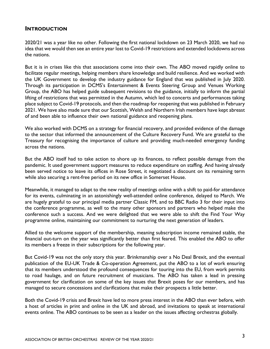### **INTRODUCTION**

2020/21 was a year like no other. Following the first national lockdown on 23 March 2020, we had no idea that we would then see an entire year lost to Covid-19 restrictions and extended lockdowns across the nations.

But it is in crises like this that associations come into their own. The ABO moved rapidly online to facilitate regular meetings, helping members share knowledge and build resilience. And we worked with the UK Government to develop the industry guidance for England that was published in July 2020. Through its participation in DCMS's Entertainment & Events Steering Group and Venues Working Group, the ABO has helped guide subsequent revisions to the guidance, initially to inform the partial lifting of restrictions that was permitted in the Autumn, which led to concerts and performances taking place subject to Covid-19 protocols, and then the roadmap for reopening that was published in February 2021. We have also made sure that our Scottish, Welsh and Northern Irish members have kept abreast of and been able to influence their own national guidance and reopening plans.

We also worked with DCMS on a strategy for financial recovery, and provided evidence of the damage to the sector that informed the announcement of the Culture Recovery Fund. We are grateful to the Treasury for recognising the importance of culture and providing much-needed emergency funding across the nations.

But the ABO itself had to take action to shore up its finances, to reflect possible damage from the pandemic. It used government support measures to reduce expenditure on staffing. And having already been served notice to leave its offices in Rose Street, it negotiated a discount on its remaining term while also securing a rent-free period on its new office in Somerset House.

Meanwhile, it managed to adapt to the new reality of meetings online with a shift to paid-for attendance for its events, culminating in an astonishingly well-attended online conference, delayed to March. We are hugely grateful to our principal media partner Classic FM, and to BBC Radio 3 for their input into the conference programme, as well to the many other sponsors and partners who helped make the conference such a success. And we were delighted that we were able to shift the Find Your Way programme online, maintaining our commitment to nurturing the next generation of leaders.

Allied to the welcome support of the membership, meaning subscription income remained stable, the financial out-turn on the year was significantly better than first feared. This enabled the ABO to offer its members a freeze in their subscriptions for the following year.

But Covid-19 was not the only story this year. Brinkmanship over a No Deal Brexit, and the eventual publication of the EU-UK Trade & Co-operation Agreement, put the ABO to a lot of work ensuring that its members understood the profound consequences for touring into the EU, from work permits to road haulage, and on future recruitment of musicians. The ABO has taken a lead in pressing government for clarification on some of the key issues that Brexit poses for our members, and has managed to secure concessions and clarifications that make their prospects a little better.

Both the Covid-19 crisis and Brexit have led to more press interest in the ABO than ever before, with a host of articles in print and online in the UK and abroad, and invitations to speak at international events online. The ABO continues to be seen as a leader on the issues affecting orchestras globally.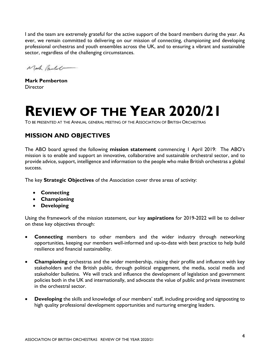I and the team are extremely grateful for the active support of the board members during the year. As ever, we remain committed to delivering on our mission of connecting, championing and developing professional orchestras and youth ensembles across the UK, and to ensuring a vibrant and sustainable sector, regardless of the challenging circumstances.

Mach Pantel

**Mark Pemberton Director** 

## **REVIEW OF THE YEAR 2020/21**

TO BE PRESENTED AT THE ANNUAL GENERAL MEETING OF THE ASSOCIATION OF BRITISH ORCHESTRAS

### **MISSION AND OBJECTIVES**

The ABO board agreed the following **mission statement** commencing 1 April 2019: The ABO's mission is to enable and support an innovative, collaborative and sustainable orchestral sector, and to provide advice, support, intelligence and information to the people who make British orchestras a global success.

The key **Strategic Objectives** of the Association cover three areas of activity:

- **Connecting**
- **Championing**
- **Developing**

Using the framework of the mission statement, our key **aspirations** for 2019-2022 will be to deliver on these key objectives through:

- **Connecting** members to other members and the wider industry through networking opportunities, keeping our members well-informed and up-to-date with best practice to help build resilience and financial sustainability.
- **Championing** orchestras and the wider membership, raising their profile and influence with key stakeholders and the British public, through political engagement, the media, social media and stakeholder bulletins. We will track and influence the development of legislation and government policies both in the UK and internationally, and advocate the value of public and private investment in the orchestral sector.
- **Developing** the skills and knowledge of our members' staff, including providing and signposting to high quality professional development opportunities and nurturing emerging leaders.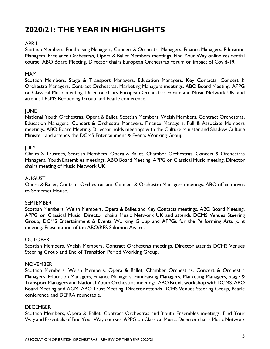### **2020/21: THE YEAR IN HIGHLIGHTS**

### APRIL

Scottish Members, Fundraising Managers, Concert & Orchestra Managers, Finance Managers, Education Managers, Freelance Orchestras, Opera & Ballet Members meetings. Find Your Way online residential course. ABO Board Meeting. Director chairs European Orchestras Forum on impact of Covid-19.

### MAY

Scottish Members, Stage & Transport Managers, Education Managers, Key Contacts, Concert & Orchestra Managers, Contract Orchestras, Marketing Managers meetings. ABO Board Meeting. APPG on Classical Music meeting. Director chairs European Orchestras Forum and Music Network UK, and attends DCMS Reopening Group and Pearle conference.

### JUNE

National Youth Orchestras, Opera & Ballet, Scottish Members, Welsh Members, Contract Orchestras, Education Managers, Concert & Orchestra Managers, Finance Managers, Full & Associate Members meetings. ABO Board Meeting. Director holds meetings with the Culture Minister and Shadow Culture Minister, and attends the DCMS Entertainment & Events Working Group.

### **IULY**

Chairs & Trustees, Scottish Members, Opera & Ballet, Chamber Orchestras, Concert & Orchestras Managers, Youth Ensembles meetings. ABO Board Meeting. APPG on Classical Music meeting. Director chairs meeting of Music Network UK.

### AUGUST

Opera & Ballet, Contract Orchestras and Concert & Orchestra Managers meetings. ABO office moves to Somerset House.

### **SFPTFMBFR**

Scottish Members, Welsh Members, Opera & Ballet and Key Contacts meetings. ABO Board Meeting. APPG on Classical Music. Director chairs Music Network UK and attends DCMS Venues Steering Group, DCMS Entertainment & Events Working Group and APPGs for the Performing Arts joint meeting. Presentation of the ABO/RPS Salomon Award.

#### **OCTOBER**

Scottish Members, Welsh Members, Contract Orchestras meetings. Director attends DCMS Venues Steering Group and End of Transition Period Working Group.

#### **NOVEMBER**

Scottish Members, Welsh Members, Opera & Ballet, Chamber Orchestras, Concert & Orchestra Managers, Education Managers, Finance Managers, Fundraising Managers, Marketing Managers, Stage & Transport Managers and National Youth Orchestras meetings. ABO Brexit workshop with DCMS. ABO Board Meeting and AGM. ABO Trust Meeting. Director attends DCMS Venues Steering Group, Pearle conference and DEFRA roundtable.

#### **DECEMBER**

Scottish Members, Opera & Ballet, Contract Orchestras and Youth Ensembles meetings. Find Your Way and Essentials of Find Your Way courses. APPG on Classical Music. Director chairs Music Network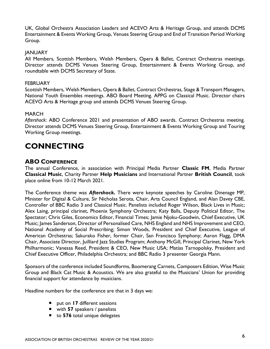UK, Global Orchestra Association Leaders and ACEVO Arts & Heritage Group, and attends DCMS Entertainment & Events Working Group, Venues Steering Group and End of Transition Period Working Group.

### **JANUARY**

All Members, Scottish Members, Welsh Members, Opera & Ballet, Contract Orchestras meetings. Director attends DCMS Venues Steering Group, Entertainment & Events Working Group, and roundtable with DCMS Secretary of State.

#### **FEBRUARY**

Scottish Members, Welsh Members, Opera & Ballet, Contract Orchestras, Stage & Transport Managers, National Youth Ensembles meetings. ABO Board Meeting. APPG on Classical Music. Director chairs ACEVO Arts & Heritage group and attends DCMS Venues Steering Group.

#### MARCH

*Aftershock:* ABO Conference 2021 and presentation of ABO awards. Contract Orchestras meeting. Director attends DCMS Venues Steering Group, Entertainment & Events Working Group and Touring Working Group meetings.

### **CONNECTING**

### **ABO CONFERENCE**

The annual Conference, in association with Principal Media Partner **Classic FM**, Media Partner **Classical Music**, Charity Partner **Help Musicians** and International Partner **British Council**, took place online from 10-12 March 2021.

The Conference theme was *Aftershock***.** There were keynote speeches by Caroline Dinenage MP, Minister for Digital & Culture, Sir Nicholas Serota, Chair, Arts Council England, and Alan Davey CBE, Controller of BBC Radio 3 and Classical Music. Panelists included Roger Wilson, Black Lives in Music; Alex Laing, principal clarinet, Phoenix Symphony Orchestra; Katy Balls, Deputy Political Editor, The Spectator; Chris Giles, Economics Editor, Financial Times; Jamie Njoku-Goodwin, Chief Executive, UK Music; James Sanderson, Director of Personalised Care, NHS England and NHS Improvement and CEO, National Academy of Social Prescribing; Simon Woods, President and Chief Executive, League of American Orchestras; Sakurako Fisher, former Chair, San Francisco Symphony; Aaron Flagg, DMA Chair, Associate Director, Juilliard Jazz Studies Program; Anthony McGill, Principal Clarinet, New York Philharmonic; Vanessa Reed, President & CEO, New Music USA; Matías Tarnopolsky, President and Chief Executive Officer, Philadelphia Orchestra; and BBC Radio 3 presenter Georgia Mann.

Sponsors of the conference included Soundforms, Boomerang Carnets, Composers Edition, Wise Music Group and Black Cat Music & Acoustics. We are also grateful to the Musicians' Union for providing financial support for attendance by musicians.

Headline numbers for the conference are that in 3 days we:

- put on **17** different sessions
- with **57** speakers / panelists
- to 576 total unique delegates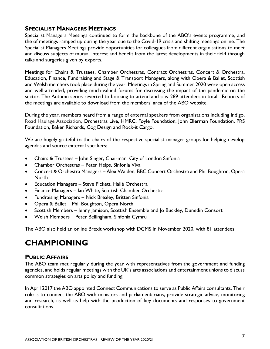### **SPECIALIST MANAGERS MEETINGS**

Specialist Managers Meetings continued to form the backbone of the ABO's events programme, and the of meetings ramped up during the year due to the Covid-19 crisis and shifting meetings online. The Specialist Managers Meetings provide opportunities for colleagues from different organisations to meet and discuss subjects of mutual interest and benefit from the latest developments in their field through talks and surgeries given by experts.

Meetings for Chairs & Trustees, Chamber Orchestras, Contract Orchestras, Concert & Orchestra, Education, Finance, Fundraising and Stage & Transport Managers, along with Opera & Ballet, Scottish and Welsh members took place during the year. Meetings in Spring and Summer 2020 were open access and well-attended, providing much-valued forums for discussing the impact of the pandemic on the sector. The Autumn series reverted to booking to attend and saw 289 attendees in total. Reports of the meetings are available to download from the members' area of the ABO website.

During the year, members heard from a range of external speakers from organisations including Indigo, Road Haulage Association, Orchestras Live, HMRC, Foyle Foundation, John Ellerman Foundation, PRS Foundation, Baker Richards, Cog Design and Rock-it Cargo.

We are hugely grateful to the chairs of the respective specialist manager groups for helping develop agendas and source external speakers:

- Chairs & Trustees John Singer, Chairman, City of London Sinfonia
- Chamber Orchestras Peter Helps, Sinfonia Viva
- Concert & Orchestra Managers Alex Walden, BBC Concert Orchestra and Phil Boughton, Opera **North**
- Education Managers Steve Pickett, Hallé Orchestra
- Finance Managers Ian White, Scottish Chamber Orchestra
- Fundraising Managers Nick Brealey, Britten Sinfonia
- Opera & Ballet Phil Boughton, Opera North
- Scottish Members Jenny Jamison, Scottish Ensemble and Jo Buckley, Dunedin Consort
- Welsh Members Peter Bellingham, Sinfonia Cymru

The ABO also held an online Brexit workshop with DCMS in November 2020, with 81 attendees.

### **CHAMPIONING**

#### **PUBLIC AFFAIRS**

The ABO team met regularly during the year with representatives from the government and funding agencies, and holds regular meetings with the UK's arts associations and entertainment unions to discuss common strategies on arts policy and funding.

In April 2017 the ABO appointed Connect Communications to serve as Public Affairs consultants. Their role is to connect the ABO with ministers and parliamentarians, provide strategic advice, monitoring and research, as well as help with the production of key documents and responses to government consultations.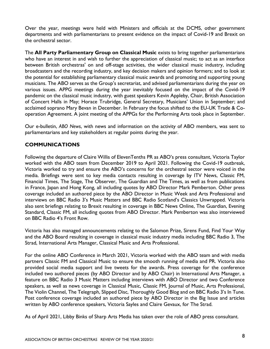Over the year, meetings were held with Ministers and officials at the DCMS, other government departments and with parliamentarians to present evidence on the impact of Covid-19 and Brexit on the orchestral sector.

The **All Party Parliamentary Group on Classical Music** exists to bring together parliamentarians who have an interest in and wish to further the appreciation of classical music; to act as an interface between British orchestras' on and off-stage activities, the wider classical music industry, including broadcasters and the recording industry, and key decision makers and opinion formers; and to look at the potential for establishing parliamentary classical music awards and promoting and supporting young musicians. The ABO serves as the Group's secretariat, and advised parliamentarians during the year on various issues. APPG meetings during the year inevitably focused on the impact of the Covid-19 pandemic on the classical music industry, with guest speakers Kevin Appleby, Chair, British Association of Concert Halls in May; Horace Trubridge, General Secretary, Musicians' Union in September; and acclaimed soprano Mary Bevan in December. In February the focus shifted to the EU-UK Trade & Cooperation Agreement. A joint meeting of the APPGs for the Performing Arts took place in September.

Our e-bulletin, *ABO News*, with news and information on the activity of ABO members, was sent to parliamentarians and key stakeholders at regular points during the year.

### **COMMUNICATIONS**

Following the departure of Claire Willis of ElevenTenths PR as ABO's press consultant, Victoria Taylor worked with the ABO team from December 2019 to April 2021. Following the Covid-19 outbreak, Victoria worked to try and ensure the ABO's concerns for the orchestral sector were voiced in the media. Briefings were sent to key media contacts resulting in coverage by ITV News, Classic FM, Financial Times, The Stage, The Observer, The Guardian and The Times, as well as from publications in France, Japan and Hong Kong, all including quotes by ABO Director Mark Pemberton. Other press coverage included an authored piece by the ABO Director in Music Week and Arts Professional and interviews on BBC Radio 3's Music Matters and BBC Radio Scotland's Classics Unwrapped. Victoria also sent briefings relating to Brexit resulting in coverage in BBC News Online, The Guardian, Evening Standard, Classic FM, all including quotes from ABO Director. Mark Pemberton was also interviewed on BBC Radio 4's Front Row.

Victoria has also managed announcements relating to the Salomon Prize, Sirens Fund, Find Your Way and the ABO Board resulting in coverage in classical music industry media including BBC Radio 3, The Strad, International Arts Manager, Classical Music and Arts Professional.

For the online ABO Conference in March 2021, Victoria worked with the ABO team and with media partners Classic FM and Classical Music to ensure the smooth running of media and PR. Victoria also provided social media support and live tweets for the awards. Press coverage for the conference included two authored pieces (by ABO Director and by ABO Chair) in International Arts Manager, a feature on BBC Radio 3 Music Matters including interviews with ABO Director and two Conference speakers, as well as news coverage in Classical Music, Classic FM, Journal of Music, Arts Professional, The Violin Channel, The Telegraph, Slipped Disc, Thoroughly Good Blog and on BBC Radio 3's In Tune. Post conference coverage included an authored piece by ABO Director in the Big Issue and articles written by ABO conference speakers, Victoria Sayles and Claire Gevaux, for The Strad.

As of April 2021, Libby Binks of Sharp Arts Media has taken over the role of ABO press consultant.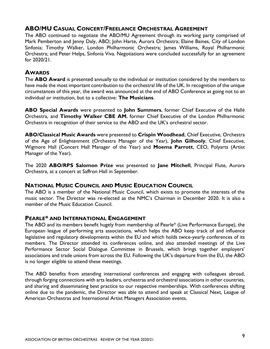### **ABO/MU CASUAL CONCERT/FREELANCE ORCHESTRAL AGREEMENT**

The ABO continued to negotiate the ABO/MU Agreement through its working party comprised of Mark Pemberton and Jenny Daly, ABO; John Harte, Aurora Orchestra; Elaine Baines, City of London Sinfonia; Timothy Walker, London Philharmonic Orchestra; James Williams, Royal Philharmonic Orchestra; and Peter Helps, Sinfonia Viva. Negotiations were concluded successfully for an agreement for 2020/21.

### **AWARDS**

The **ABO Award** is presented annually to the individual or institution considered by the members to have made the most important contribution to the orchestral life of the UK. In recognition of the unique circumstances of this year, the award was announced at the end of ABO Conference as going not to an individual or institution, but to a collective: **The Musicians**.

**ABO Special Awards** were presented to **John Summers**, former Chief Executive of the Hallé Orchestra, and **Timothy Walker CBE AM**, former Chief Executive of the London Philharmonic Orchestra in recognition of their service to the ABO and the UK's orchestral sector.

**ABO/Classical Music Awards** were presented to **Crispin Woodhead**, Chief Executive, Orchestra of the Age of Enlightenment (Orchestra Manager of the Year), **John Gilhooly**, Chief Executive, Wigmore Hall (Concert Hall Manager of the Year) and **Moema Parrott**, CEO, Polyarts (Artist Manager of the Year).

The 2020 **ABO/RPS Salomon Prize** was presented to **Jane Mitchell**, Principal Flute, Aurora Orchestra, at a concert at Saffron Hall in September.

### **NATIONAL MUSIC COUNCIL AND MUSIC EDUCATION COUNCIL**

The ABO is a member of the National Music Council, which exists to promote the interests of the music sector. The Director was re-elected as the NMC's Chairman in December 2020. It is also a member of the Music Education Council.

### **PEARLE\* AND INTERNATIONAL ENGAGEMENT**

The ABO and its members benefit hugely from membership of Pearle\* (Live Performance Europe), the European league of performing arts associations, which helps the ABO keep track of and influence legislative and regulatory developments within the EU and which holds twice-yearly conferences of its members. The Director attended its conferences online, and also attended meetings of the Live Performance Sector Social Dialogue Committee in Brussels, which brings together employers' associations and trade unions from across the EU. Following the UK's departure from the EU, the ABO is no longer eligible to attend these meetings.

The ABO benefits from attending international conferences and engaging with colleagues abroad, through forging connections with arts leaders, orchestras and orchestral associations in other countries, and sharing and disseminating best practice to our respective memberships. With conferences shifting online due to the pandemic, the Director was able to attend and speak at Classical Next, League of American Orchestras and International Artist Managers Association events.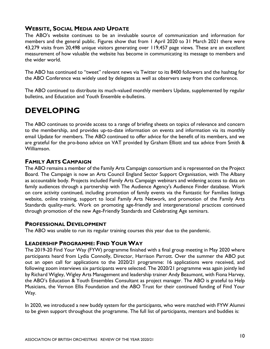### **WEBSITE, SOCIAL MEDIA AND UPDATE**

The ABO's website continues to be an invaluable source of communication and information for members and the general public. Figures show that from 1 April 2020 to 31 March 2021 there were 43,279 visits from 20,498 unique visitors generating over 119,457 page views*.* These are an excellent measurement of how valuable the website has become in communicating its message to members and the wider world.

The ABO has continued to "tweet" relevant news via Twitter to its 8400 followers and the hashtag for the ABO Conference was widely used by delegates as well as observers away from the conference.

The ABO continued to distribute its much-valued monthly members Update, supplemented by regular bulletins, and Education and Youth Ensemble e-bulletins.

### **DEVELOPING**

The ABO continues to provide access to a range of briefing sheets on topics of relevance and concern to the membership, and provides up-to-date information on events and information via its monthly email Update for members. The ABO continued to offer advice for the benefit of its members, and we are grateful for the pro-bono advice on VAT provided by Graham Elliott and tax advice from Smith & Williamson.

### **FAMILY ARTS CAMPAIGN**

The ABO remains a member of the Family Arts Campaign consortium and is represented on the Project Board. The Campaign is now an Arts Council England Sector Support Organisation, with The Albany as accountable body. Projects included Family Arts Campaign webinars and widening access to data on family audiences through a partnership with The Audience Agency's Audience Finder database. Work on core activity continued, including promotion of family events via the Fantastic for Families listings website, online training, support to local Family Arts Network, and promotion of the Family Arts Standards quality-mark. Work on promoting age-friendly and intergenerational practices continued through promotion of the new Age-Friendly Standards and Celebrating Age seminars.

### **PROFESSIONAL DEVELOPMENT**

The ABO was unable to run its regular training courses this year due to the pandemic.

### **LEADERSHIP PROGRAMME: FIND YOUR WAY**

The 2019-20 Find Your Way (FYW) programme finished with a final group meeting in May 2020 where participants heard from Lydia Connolly, Director, Harrison Parrott. Over the summer the ABO put out an open call for applications to the 2020/21 programme: 16 applications were received, and following zoom interviews six participants were selected. The 2020/21 programme was again jointly led by Richard Wigley, Wigley Arts Management and leadership trainer Andy Beaumont, with Fiona Harvey, the ABO's Education & Youth Ensembles Consultant as project manager. The ABO is grateful to Help Musicians, the Vernon Ellis Foundation and the ABO Trust for their continued funding of Find Your Way.

In 2020, we introduced a new buddy system for the participants, who were matched with FYW Alumni to be given support throughout the programme. The full list of participants, mentors and buddies is: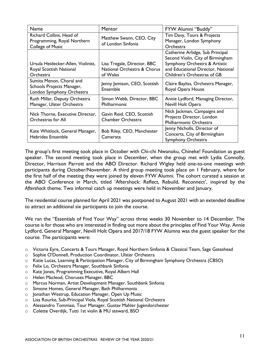| <b>Name</b>                                                                        | Mentor                                                                 | FYW Alumni "Buddy"                                                                                                                                                          |
|------------------------------------------------------------------------------------|------------------------------------------------------------------------|-----------------------------------------------------------------------------------------------------------------------------------------------------------------------------|
| Richard Collins, Head of<br>Programming, Royal Northern<br><b>College of Music</b> | Matthew Swann, CEO, City<br>of London Sinfonia                         | Tim Davy, Tours & Projects<br>Manager, London Symphony<br><b>Orchestra</b>                                                                                                  |
| Ursula Heidecker-Allen, Violinist,<br>Royal Scottish National<br><b>Orchestra</b>  | Lisa Tregale, Director, BBC<br>National Orchestra & Chorus<br>of Wales | Catherine Arlidge, Sub Principal<br>Second Violin, City of Birmingham<br>Symphony Orchestra & Artistic<br>and Educational Director, National<br>Children's Orchestras of GB |
| Sumita Menon, Choral and<br>Schools Projects Manager,<br>London Symphony Orchestra | Jenny Jamison, CEO, Scottish<br>Ensemble                               | Claire Bayliss, Orchestra Manager,<br>Royal Opera House                                                                                                                     |
| Ruth Millar, Deputy Orchestra<br>Manager, Ulster Orchestra                         | Simon Webb, Director, BBC<br>Philharmonic                              | Annie Lydford, Managing Director,<br>Nevill Holt Opera                                                                                                                      |
| Nick Thorne, Executive Director,<br>Orchestras for All                             | Gavin Reid, CEO, Scottish<br>Chamber Orchestra                         | Nick Jackman, Campaigns and<br>Projects Director, London<br>Philharmonic Orchestra                                                                                          |
| Kate Whitlock, General Manager,<br><b>Hebrides Ensemble</b>                        | Bob Riley, CEO, Manchester<br>Camerata                                 | Jenny Nicholls, Director of<br>Concerts, City of Birmingham<br>Symphony Orchestra                                                                                           |

The group's first meeting took place in October with Chi-chi Nwanoku, Chineke! Foundation as guest speaker. The second meeting took place in December, when the group met with Lydia Connolly, Director, Harrison Parrott and the ABO Director. Richard Wigley held one-to-one meetings with participants during October/November. A third group meeting took place on 1 February, where for the first half of the meeting they were joined by eleven FYW Alumni. The cohort curated a session at the ABO Conference in March, titled 'Aftershock: Reflect, Rebuild, Reconnect', inspired by the *Aftershock* theme. Two informal catch up meetings were held in November and January.

The residential course planned for April 2021 was postponed to August 2021 with an extended deadline to attract an additional six participants to join the course.

We ran the "Essentials of Find Your Way" across three weeks 30 November to 14 December. The course is for those who are interested in finding out more about the principles of Find Your Way. Annie Lydford, General Manager, Nevill Holt Opera and 2017/18 FYW Alumna was the guest speaker for the course. The participants were:

- o Victoria Eyre, Concerts & Tours Manager, Royal Northern Sinfonia & Classical Team, Sage Gateshead
- o Sophie O'Donnell, Production Coordinator, Ulster Orchestra
- o Katie Lucas, Learning & Participation Manager, City of Birmingham Symphony Orchestra (CBSO)
- o Felix Lo, Orchestra Manager, Southbank Sinfonia
- o Kate Jones, Programming Executive, Royal Albert Hall
- o Helen Macleod, Choruses Manager, BBC
- o Marcus Norman, Artist Development Manager, Southbank Sinfonia
- o Simone Homes, General Manager, Bath Philharmonia
- o Jonathan Westrup, Education Manager, Open Up Music
- o Lisa Rourke, Sub-Principal Viola, Royal Scottish National Orchestra
- o Alessandro Tommasi, Tour Manager, Gustav Mahler Jugendorchester
- o Colette Overdijk, Tutti 1st violin & MU steward, BSO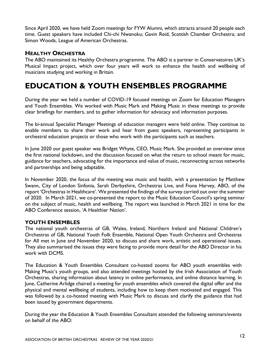Since April 2020, we have held Zoom meetings for FYW Alumni, which attracts around 20 people each time. Guest speakers have included Chi-chi Nwanoku; Gavin Reid, Scottish Chamber Orchestra; and Simon Woods, League of American Orchestras.

### **HEALTHY ORCHESTRA**

The ABO maintained its Healthy Orchestra programme. The ABO is a partner in Conservatoires UK's Musical Impact project, which over four years will work to enhance the health and wellbeing of musicians studying and working in Britain.

### **EDUCATION & YOUTH ENSEMBLES PROGRAMME**

During the year we held a number of COVID-19 focused meetings on Zoom for Education Managers and Youth Ensembles. We worked with Music Mark and Making Music in these meetings to provide clear briefings for members, and to gather information for advocacy and information purposes.

The bi-annual Specialist Manager Meetings of education managers were held online. They continue to enable members to share their work and hear from guest speakers, representing participants in orchestral education projects or those who work with the participants such as teachers.

In June 2020 our guest speaker was Bridget Whyte, CEO, Music Mark. She provided an overview since the first national lockdown, and the discussion focused on what the return to school meant for music, guidance for teachers, advocating for the importance and value of music, reconnecting across networks and partnerships and being adaptable.

In November 2020, the focus of the meeting was music and health, with a presentation by Matthew Swann, City of London Sinfonia, Sarah Derbyshire, Orchestras Live, and Fiona Harvey, ABO, of the report 'Orchestras in Healthcare'. We presented the findings of the survey carried out over the summer of 2020. In March 2021, we co-presented the report to the Music Education Council's spring seminar on the subject of music, health and wellbeing. The report was launched in March 2021 in time for the ABO Conference session, 'A Healthier Nation'.

### **YOUTH ENSEMBLES**

The national youth orchestras of GB, Wales, Ireland, Northern Ireland and National Children's Orchestras of GB, National Youth Folk Ensemble, National Open Youth Orchestra and Orchestras for All met in June and November 2020, to discuss and share work, artistic and operational issues. They also summarised the issues they were facing to provide more detail for the ABO Director in his work with DCMS.

The Education & Youth Ensembles Consultant co-hosted zooms for ABO youth ensembles with Making Music's youth groups, and also attended meetings hosted by the Irish Association of Youth Orchestras, sharing information about latency in online performance, and online distance learning. In June, Catherine Arlidge chaired a meeting for youth ensembles which covered the digital offer and the physical and mental wellbeing of students, including how to keep them motivated and engaged. This was followed by a co-hosted meeting with Music Mark to discuss and clarify the guidance that had been issued by government departments.

During the year the Education & Youth Ensembles Consultant attended the following seminars/events on behalf of the ABO: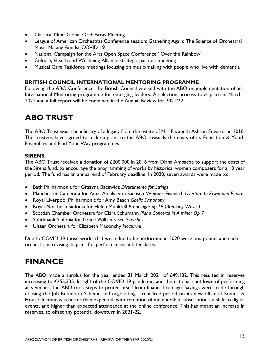- Classical Next Global Orchestras Meeting
- League of American Orchestras Conference session: Gathering Again: The Science of Orchestral Music Making Amidst COVID-19
- National Campaign for the Arts Open Space Conference ' Over the Rainbow'
- Culture, Health and Wellbeing Alliance strategic partners meeting
- Musical Care Taskforce meetings focusing on music-making with people who live with dementia

### **BRITISH COUNCIL INTERNATIONAL MENTORING PROGRAMME**

Following the ABO Conference, the British Council worked with the ABO on implementation of an International Mentoring programme for emerging leaders. A selection process took place in March 2021 and a full report will be contained in the Annual Review for 2021/22.

### **ABO TRUST**

The ABO Trust was a beneficiary of a legacy from the estate of Mrs Elizabeth Ashton Edwards in 2010. The trustees have agreed to make a grant to the ABO towards the costs of its Education & Youth Ensembles and Find Your Way programmes.

### **SIRENS**

The ABO Trust received a donation of £200,000 in 2016 from Diana Ambache to support the costs of the Sirens fund, to encourage the programming of works by historical women composers for a 10 year period. The fund has an annual end of February deadline. In 2020, seven awards were made to:

- Bath Philharmonia for Grazyna Bacewicz *Divertimento for Strings*
- Manchester Camerata for Anna Amalia von Sachsen-Weimar-Eisenach *Overture to Erwin and Elmire*
- Royal Liverpool Philharmonic for Amy Beach *Gaelic Symphony*
- Royal Northern Sinfonia for Helen Munktell *Bränningar op.19 )Breaking Waves)*
- Scottish Chamber Orchestra for Clara Schumann *Piano Concerto in A minor Op 7*
- Southbank Sinfonia for Grace Williams *Sea Sketches*
- Ulster Orchestra for Elizabeth Maconchy *Nocturne*

Due to COVID-19 those works that were due to be performed in 2020 were postponed, and each orchestra is revising its plans for performances at later dates.

### **FINANCE**

The ABO made a surplus for the year ended 31 March 2021 of £49,132. This resulted in reserves increasing to £255,335. In light of the COVID-19 pandemic, and the national shutdown of performing arts venues, the ABO took steps to protect itself from financial damage. Savings were made through utilising the Job Retention Scheme and negotiating a rent-free period on its new office at Somerset House. Income was better than expected, with retention of membership subscriptions, a shift to digital events, and higher than expected attendance at the online conference. This has meant an increase in reserves, to offset any potential downturn in 2021-22.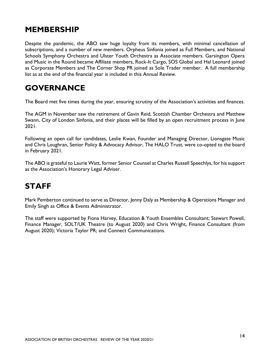### **MEMBERSHIP**

Despite the pandemic, the ABO saw huge loyalty from its members, with minimal cancellation of subscriptions, and a number of new members. Orpheus Sinfonia joined as Full Members, and National Schools Symphony Orchestra and Ulster Youth Orchestra as Associate members. Garsington Opera and Music in the Round became Affiliate members, Rock-It Cargo, SOS Global and Hal Leonard joined as Corporate Members and The Corner Shop PR joined as Sole Trader member. A full membership list as at the end of the financial year is included in this Annual Review.

### **GOVERNANCE**

The Board met five times during the year, ensuring scrutiny of the Association's activities and finances.

The AGM in November saw the retirement of Gavin Reid, Scottish Chamber Orchestra and Matthew Swann, City of London Sinfonia, and their places will be filled by an open recruitment process in June 2021.

Following an open call for candidates, Leslie Kwan, Founder and Managing Director, Lionsgate Music and Chris Loughran, Senior Policy & Advocacy Advisor, The HALO Trust, were co-opted to the board in February 2021.

The ABO is grateful to Laurie Watt, former Senior Counsel at Charles Russell Speechlys, for his support as the Association's Honorary Legal Adviser.

### **STAFF**

Mark Pemberton continued to serve as Director, Jenny Daly as Membership & Operations Manager and Emily Singh as Office & Events Administrator.

The staff were supported by Fiona Harvey, Education & Youth Ensembles Consultant; Stewart Powell, Finance Manager, SOLT/UK Theatre (to August 2020) and Chris Wright, Finance Consultant (from August 2020); Victoria Taylor PR; and Connect Communications.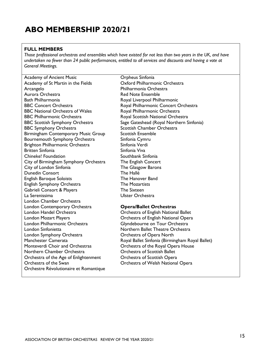### **ABO MEMBERSHIP 2020/21**

#### **FULL MEMBERS**

*Those professional orchestras and ensembles which have existed for not less than two years in the UK, and have undertaken no fewer than 24 public performances, entitled to all services and discounts and having a vote at General Meetings.*

Academy of Ancient Music Academy of St Martin in the Fields **Arcangelo** Aurora Orchestra Bath Philharmonia BBC Concert Orchestra BBC National Orchestra of Wales BBC Philharmonic Orchestra BBC Scottish Symphony Orchestra BBC Symphony Orchestra Birmingham Contemporary Music Group Bournemouth Symphony Orchestra Brighton Philharmonic Orchestra Britten Sinfonia Chineke! Foundation City of Birmingham Symphony Orchestra City of London Sinfonia Dunedin Consort English Baroque Soloists English Symphony Orchestra Gabrieli Consort & Players La Serenissima London Chamber Orchestra London Contemporary Orchestra London Handel Orchestra London Mozart Players London Philharmonic Orchestra London Sinfonietta London Symphony Orchestra Manchester Camerata Monteverdi Choir and Orchestras Northern Chamber Orchestra Orchestra of the Age of Enlightenment Orchestra of the Swan Orchestre Révolutionaire et Romantique

Orpheus Sinfonia Oxford Philharmonic Orchestra Philharmonia Orchestra Red Note Ensemble Royal Liverpool Philharmonic Royal Philharmonic Concert Orchestra Royal Philharmonic Orchestra Royal Scottish National Orchestra Sage Gateshead (Royal Northern Sinfonia) Scottish Chamber Orchestra Scottish Ensemble Sinfonia Cymru Sinfonia Verdi Sinfonia Viva Southbank Sinfonia The English Concert The Glasgow Barons The Hallé The Hanover Band The Mozartists The Sixteen Ulster Orchestra

#### **Opera/Ballet Orchestras**

Orchestra of English National Ballet Orchestra of English National Opera Glyndebourne on Tour Orchestra Northern Ballet Theatre Orchestra Orchestra of Opera North Royal Ballet Sinfonia (Birmingham Royal Ballet) Orchestra of the Royal Opera House Orchestra of Scottish Ballet Orchestra of Scottish Opera Orchestra of Welsh National Opera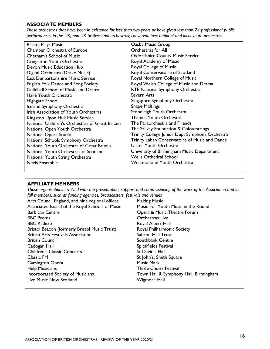#### **ASSOCIATE MEMBERS**

*Those orchestras that have been in existence for less than two years or have given less than 24 professional public performances in the UK; non-UK professional orchestras; conservatoires; national and local youth orchestras*

Bristol Plays Music Chamber Orchestra of Europe Chetham's School of Music Congleton Youth Orchestra Devon Music Education Hub Digital Orchestra (Drake Music) East Dunbartonshire Music Service English Folk Dance and Song Society Guildhall School of Music and Drama Hallé Youth Orchestra Highgate School Iceland Symphony Orchestra Irish Association of Youth Orchestras Kingston Upon Hull Music Service National Children's Orchestras of Great Britain National Open Youth Orchestra National Opera Studio National Schools Symphony Orchestra National Youth Orchestra of Great Britain National Youth Orchestras of Scotland National Youth String Orchestra Nevis Ensemble

Oasby Music Group Orchestras for All Oxfordshire County Music Service Royal Academy of Music Royal College of Music Royal Conservatoire of Scotland Royal Northern College of Music Royal Welsh College of Music and Drama RTÉ National Symphony Orchestra Severn Arts Singapore Symphony Orchestra Snape Maltings Stoneleigh Youth Orchestra Thames Youth Orchestra The Paraorchestra and Friends The Szilvay Foundation & Colourstrings Trinity College Junior Dept Symphony Orchestra Trinity Laban Conservatoire of Music and Dance Ulster Youth Orchestra University of Birmingham Music Department Wells Cathedral School Westmorland Youth Orchestra

#### **AFFILIATE MEMBERS**

*Those organisations involved with the presentation, support and commissioning of the work of the Association and its full members, such as funding agencies, broadcasters, festivals and venues*

| $\mathbf{a}$ . The state of the state $\mathbf{a}$ and $\mathbf{a}$ are the state of the state $\mathbf{a}$ |                                       |
|-------------------------------------------------------------------------------------------------------------|---------------------------------------|
| Arts Council England, and nine regional offices                                                             | <b>Making Music</b>                   |
| Associated Board of the Royal Schools of Music                                                              | Music For Youth Music in the Round    |
| <b>Barbican Centre</b>                                                                                      | Opera & Music Theatre Forum           |
| <b>BBC Proms</b>                                                                                            | <b>Orchestras Live</b>                |
| <b>BBC Radio 3</b>                                                                                          | Royal Albert Hall                     |
| Bristol Beacon (formerly Bristol Music Trust)                                                               | Royal Philharmonic Society            |
| <b>British Arts Festivals Association</b>                                                                   | <b>Saffron Hall Trust</b>             |
| <b>British Council</b>                                                                                      | Southbank Centre                      |
| Cadogan Hall                                                                                                | Spitalfields Festival                 |
| <b>Children's Classic Concerts</b>                                                                          | St David's Hall                       |
| <b>Classic FM</b>                                                                                           | St John's, Smith Square               |
| <b>Garsington Opera</b>                                                                                     | <b>Music Mark</b>                     |
| <b>Help Musicians</b>                                                                                       | <b>Three Choirs Festival</b>          |
| <b>Incorporated Society of Musicians</b>                                                                    | Town Hall & Symphony Hall, Birmingham |
| Live Music Now Scotland                                                                                     | Wigmore Hall                          |
|                                                                                                             |                                       |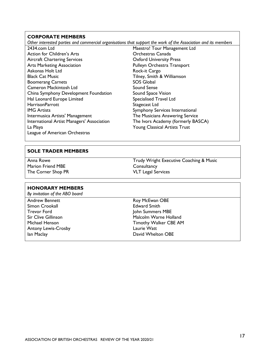#### **CORPORATE MEMBERS**

*Other interested parties and commercial organisations that support the work of the Association and its members*

- 2434.com Ltd Action for Children's Arts Aircraft Chartering Services Arts Marketing Association Askonas Holt Ltd Black Cat Music Boomerang Carnets Cameron Mackintosh Ltd China Symphony Development Foundation Hal Leonard Europe Limited **HarrisonParrott** IMG Artists Intermusica Artists' Management International Artist Managers' Association La Playa League of American Orchestras
- Maestro! Tour Management Ltd Orchestras Canada Oxford University Press Pulleyn Orchestra Transport Rock-it Cargo Tilney, Smith & Williamson SOS Global Sound Sense Sound Space Vision Specialised Travel Ltd Stagecast Ltd Symphony Services International The Musicians Answering Service The Ivors Academy (formerly BASCA) Young Classical Artists Trust

#### **SOLE TRADER MEMBERS**

Anna Rowe Marion Friend MBE The Corner Shop PR Trudy Wright Executive Coaching & Music **Consultancy** VLT Legal Services

#### **HONORARY MEMBERS**

*By invitation of the ABO board* Andrew Bennett Simon Crookall Trevor Ford Sir Clive Gillinson

Michael Henson Antony Lewis-Crosby Ian Maclay

Roy McEwan OBE Edward Smith John Summers MBE Malcolm Warne Holland Timothy Walker CBE AM Laurie Watt David Whelton OBE